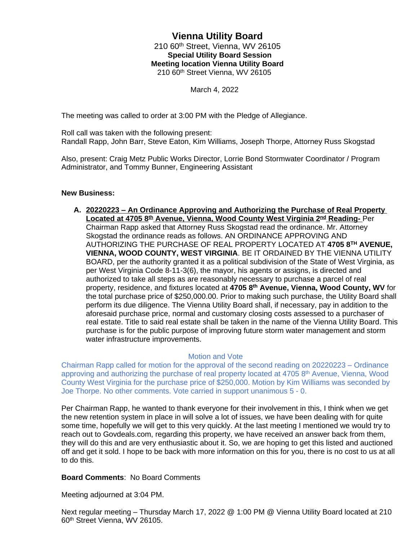## **Vienna Utility Board** 210 60th Street, Vienna, WV 26105  **Special Utility Board Session Meeting location Vienna Utility Board** 210 60th Street Vienna, WV 26105

March 4, 2022

The meeting was called to order at 3:00 PM with the Pledge of Allegiance.

Roll call was taken with the following present: Randall Rapp, John Barr, Steve Eaton, Kim Williams, Joseph Thorpe, Attorney Russ Skogstad

Also, present: Craig Metz Public Works Director, Lorrie Bond Stormwater Coordinator / Program Administrator, and Tommy Bunner, Engineering Assistant

## **New Business:**

**A. 20220223 – An Ordinance Approving and Authorizing the Purchase of Real Property Located at 4705 8th Avenue, Vienna, Wood County West Virginia 2nd Reading-** Per Chairman Rapp asked that Attorney Russ Skogstad read the ordinance. Mr. Attorney Skogstad the ordinance reads as follows. AN ORDINANCE APPROVING AND AUTHORIZING THE PURCHASE OF REAL PROPERTY LOCATED AT **4705 8TH AVENUE, VIENNA, WOOD COUNTY, WEST VIRGINIA**. BE IT ORDAINED BY THE VIENNA UTILITY BOARD, per the authority granted it as a political subdivision of the State of West Virginia, as per West Virginia Code 8-11-3(6), the mayor, his agents or assigns, is directed and authorized to take all steps as are reasonably necessary to purchase a parcel of real property, residence, and fixtures located at **4705 8th Avenue, Vienna, Wood County, WV** for the total purchase price of \$250,000.00. Prior to making such purchase, the Utility Board shall perform its due diligence. The Vienna Utility Board shall, if necessary, pay in addition to the aforesaid purchase price, normal and customary closing costs assessed to a purchaser of real estate. Title to said real estate shall be taken in the name of the Vienna Utility Board. This purchase is for the public purpose of improving future storm water management and storm water infrastructure improvements.

## Motion and Vote

Chairman Rapp called for motion for the approval of the second reading on 20220223 – Ordinance approving and authorizing the purchase of real property located at 4705 8<sup>th</sup> Avenue, Vienna, Wood County West Virginia for the purchase price of \$250,000. Motion by Kim Williams was seconded by Joe Thorpe. No other comments. Vote carried in support unanimous 5 - 0.

Per Chairman Rapp, he wanted to thank everyone for their involvement in this, I think when we get the new retention system in place in will solve a lot of issues, we have been dealing with for quite some time, hopefully we will get to this very quickly. At the last meeting I mentioned we would try to reach out to Govdeals.com, regarding this property, we have received an answer back from them, they will do this and are very enthusiastic about it. So, we are hoping to get this listed and auctioned off and get it sold. I hope to be back with more information on this for you, there is no cost to us at all to do this.

## **Board Comments**: No Board Comments

Meeting adjourned at 3:04 PM.

Next regular meeting – Thursday March 17, 2022 @ 1:00 PM @ Vienna Utility Board located at 210 60th Street Vienna, WV 26105.